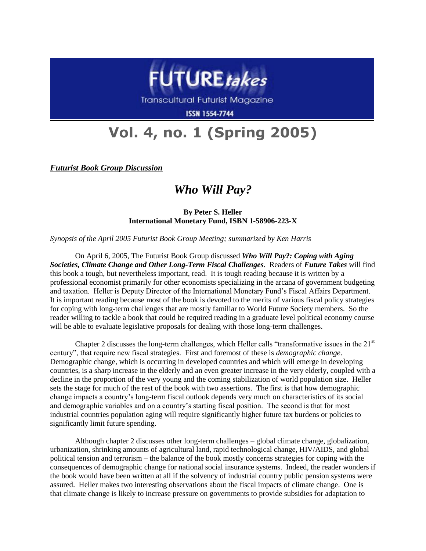

Transcultural Futurist Magazine

**ISSN 1554-7744** 

## **Vol. 4, no. 1 (Spring 2005)**

*Futurist Book Group Discussion*

## *Who Will Pay?*

**By Peter S. Heller International Monetary Fund, ISBN 1-58906-223-X**

*Synopsis of the April 2005 Futurist Book Group Meeting; summarized by Ken Harris*

On April 6, 2005, The Futurist Book Group discussed *Who Will Pay?: Coping with Aging Societies, Climate Change and Other Long-Term Fiscal Challenges*. Readers of *Future Takes* will find this book a tough, but nevertheless important, read. It is tough reading because it is written by a professional economist primarily for other economists specializing in the arcana of government budgeting and taxation. Heller is Deputy Director of the International Monetary Fund's Fiscal Affairs Department. It is important reading because most of the book is devoted to the merits of various fiscal policy strategies for coping with long-term challenges that are mostly familiar to World Future Society members. So the reader willing to tackle a book that could be required reading in a graduate level political economy course will be able to evaluate legislative proposals for dealing with those long-term challenges.

Chapter 2 discusses the long-term challenges, which Heller calls "transformative issues in the  $21<sup>st</sup>$ century", that require new fiscal strategies. First and foremost of these is *demographic change*. Demographic change, which is occurring in developed countries and which will emerge in developing countries, is a sharp increase in the elderly and an even greater increase in the very elderly, coupled with a decline in the proportion of the very young and the coming stabilization of world population size. Heller sets the stage for much of the rest of the book with two assertions. The first is that how demographic change impacts a country's long-term fiscal outlook depends very much on characteristics of its social and demographic variables and on a country's starting fiscal position. The second is that for most industrial countries population aging will require significantly higher future tax burdens or policies to significantly limit future spending.

Although chapter 2 discusses other long-term challenges – global climate change, globalization, urbanization, shrinking amounts of agricultural land, rapid technological change, HIV/AIDS, and global political tension and terrorism – the balance of the book mostly concerns strategies for coping with the consequences of demographic change for national social insurance systems. Indeed, the reader wonders if the book would have been written at all if the solvency of industrial country public pension systems were assured. Heller makes two interesting observations about the fiscal impacts of climate change. One is that climate change is likely to increase pressure on governments to provide subsidies for adaptation to